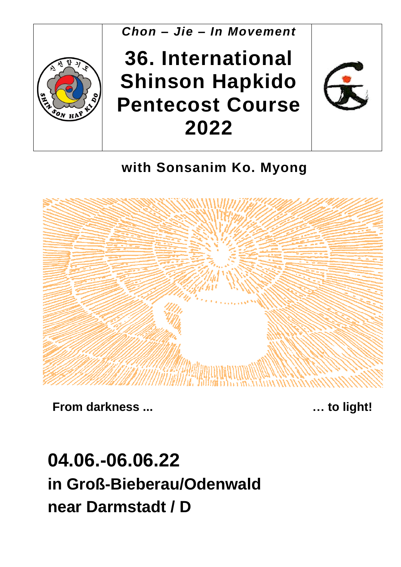

**with Sonsanim Ko. Myong**



**From darkness ... … to light!**

# **04.06.-06.06.22 in Groß-Bieberau/Odenwald near Darmstadt / D**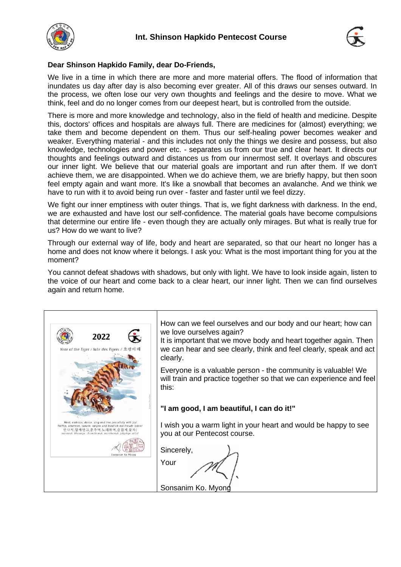



#### **Dear Shinson Hapkido Family, dear Do-Friends,**

We live in a time in which there are more and more material offers. The flood of information that inundates us day after day is also becoming ever greater. All of this draws our senses outward. In the process, we often lose our very own thoughts and feelings and the desire to move. What we think, feel and do no longer comes from our deepest heart, but is controlled from the outside.

There is more and more knowledge and technology, also in the field of health and medicine. Despite this, doctors' offices and hospitals are always full. There are medicines for (almost) everything; we take them and become dependent on them. Thus our self-healing power becomes weaker and weaker. Everything material - and this includes not only the things we desire and possess, but also knowledge, technologies and power etc. - separates us from our true and clear heart. It directs our thoughts and feelings outward and distances us from our innermost self. It overlays and obscures our inner light. We believe that our material goals are important and run after them. If we don't achieve them, we are disappointed. When we do achieve them, we are briefly happy, but then soon feel empty again and want more. It's like a snowball that becomes an avalanche. And we think we have to run with it to avoid being run over - faster and faster until we feel dizzy.

We fight our inner emptiness with outer things. That is, we fight darkness with darkness. In the end, we are exhausted and have lost our self-confidence. The material goals have become compulsions that determine our entire life - even though they are actually only mirages. But what is really true for us? How do we want to live?

Through our external way of life, body and heart are separated, so that our heart no longer has a home and does not know where it belongs. I ask you: What is the most important thing for you at the moment?

You cannot defeat shadows with shadows, but only with light. We have to look inside again, listen to the voice of our heart and come back to a clear heart, our inner light. Then we can find ourselves again and return home.

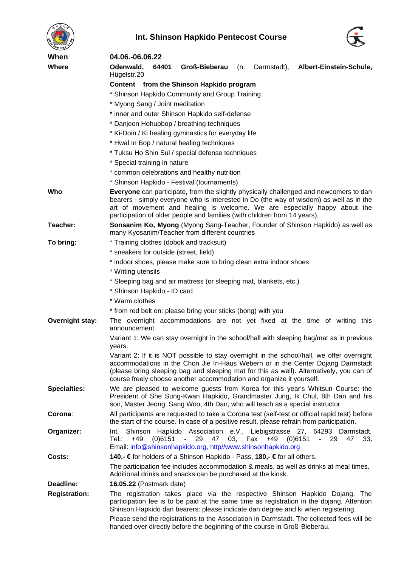![](_page_2_Picture_0.jpeg)

![](_page_2_Picture_1.jpeg)

![](_page_2_Picture_2.jpeg)

| When                   | 04.06.-06.06.22                                                                                                                                                                                                                                                                                                                                  |  |  |  |  |  |  |
|------------------------|--------------------------------------------------------------------------------------------------------------------------------------------------------------------------------------------------------------------------------------------------------------------------------------------------------------------------------------------------|--|--|--|--|--|--|
| Where                  | Odenwald,<br>64401<br>Groß-Bieberau<br>(n.<br>Darmstadt),<br>Albert-Einstein-Schule,<br>Hügelstr.20                                                                                                                                                                                                                                              |  |  |  |  |  |  |
|                        | Content from the Shinson Hapkido program                                                                                                                                                                                                                                                                                                         |  |  |  |  |  |  |
|                        | * Shinson Hapkido Community and Group Training                                                                                                                                                                                                                                                                                                   |  |  |  |  |  |  |
|                        | * Myong Sang / Joint meditation                                                                                                                                                                                                                                                                                                                  |  |  |  |  |  |  |
|                        | * inner and outer Shinson Hapkido self-defense                                                                                                                                                                                                                                                                                                   |  |  |  |  |  |  |
|                        | * Danjeon Hohupbop / breathing techniques                                                                                                                                                                                                                                                                                                        |  |  |  |  |  |  |
|                        | * Ki-Doin / Ki healing gymnastics for everyday life                                                                                                                                                                                                                                                                                              |  |  |  |  |  |  |
|                        | * Hwal In Bop / natural healing techniques                                                                                                                                                                                                                                                                                                       |  |  |  |  |  |  |
|                        | * Tuksu Ho Shin Sul / special defense techniques                                                                                                                                                                                                                                                                                                 |  |  |  |  |  |  |
|                        | * Special training in nature                                                                                                                                                                                                                                                                                                                     |  |  |  |  |  |  |
|                        | * common celebrations and healthy nutrition                                                                                                                                                                                                                                                                                                      |  |  |  |  |  |  |
|                        | * Shinson Hapkido - Festival (tournaments)                                                                                                                                                                                                                                                                                                       |  |  |  |  |  |  |
| Who                    | Everyone can participate, from the slightly physically challenged and newcomers to dan<br>bearers - simply everyone who is interested in Do (the way of wisdom) as well as in the<br>art of movement and healing is welcome. We are especially happy about the<br>participation of older people and families (with children from 14 years).      |  |  |  |  |  |  |
| Teacher:               | Sonsanim Ko, Myong (Myong Sang-Teacher, Founder of Shinson Hapkido) as well as<br>many Kyosanim/Teacher from different countries                                                                                                                                                                                                                 |  |  |  |  |  |  |
| To bring:              | * Training clothes (dobok and tracksuit)                                                                                                                                                                                                                                                                                                         |  |  |  |  |  |  |
|                        | * sneakers for outside (street, field)                                                                                                                                                                                                                                                                                                           |  |  |  |  |  |  |
|                        | * indoor shoes, please make sure to bring clean extra indoor shoes                                                                                                                                                                                                                                                                               |  |  |  |  |  |  |
|                        | * Writing utensils                                                                                                                                                                                                                                                                                                                               |  |  |  |  |  |  |
|                        | * Sleeping bag and air mattress (or sleeping mat, blankets, etc.)                                                                                                                                                                                                                                                                                |  |  |  |  |  |  |
|                        | * Shinson Hapkido - ID card                                                                                                                                                                                                                                                                                                                      |  |  |  |  |  |  |
|                        | * Warm clothes                                                                                                                                                                                                                                                                                                                                   |  |  |  |  |  |  |
|                        | * from red belt on: please bring your sticks (bong) with you                                                                                                                                                                                                                                                                                     |  |  |  |  |  |  |
| <b>Overnight stay:</b> | The overnight accommodations are not yet fixed at the time of writing this<br>announcement.                                                                                                                                                                                                                                                      |  |  |  |  |  |  |
|                        | Variant 1: We can stay overnight in the school/hall with sleeping bag/mat as in previous<br>years.                                                                                                                                                                                                                                               |  |  |  |  |  |  |
|                        | Variant 2: If it is NOT possible to stay overnight in the school/hall, we offer overnight<br>accommodations in the Chon Jie In-Haus Webern or in the Center Dojang Darmstadt<br>(please bring sleeping bag and sleeping mat for this as well). Alternatively, you can of<br>course freely choose another accommodation and organize it yourself. |  |  |  |  |  |  |
| <b>Specialties:</b>    | We are pleased to welcome guests from Korea for this year's Whitsun Course: the<br>President of She Sung-Kwan Hapkido, Grandmaster Jung, Ik Chul, 8th Dan and his<br>son, Master Jeong, Sang Woo, 4th Dan, who will teach as a special instructor.                                                                                               |  |  |  |  |  |  |
| Corona:                | All participants are requested to take a Corona test (self-test or official rapid test) before<br>the start of the course. In case of a positive result, please refrain from participation.                                                                                                                                                      |  |  |  |  |  |  |
| Organizer:             | Hapkido Association e.V., Liebigstrasse 27, 64293 Darmstadt,<br>Shinson<br>Int.<br>Fax<br>Tel.∶<br>+49<br>(0)6151<br>29<br>47<br>03,<br>+49<br>(0)6151<br>- 29<br>$\blacksquare$<br>47<br>33.<br>Email: info@shinsonhapkido.org, http//www.shinsonhapkido.org                                                                                    |  |  |  |  |  |  |
| Costs:                 | 140,- € for holders of a Shinson Hapkido - Pass, 180,- € for all others.                                                                                                                                                                                                                                                                         |  |  |  |  |  |  |
|                        | The participation fee includes accommodation & meals, as well as drinks at meal times.<br>Additional drinks and snacks can be purchased at the kiosk.                                                                                                                                                                                            |  |  |  |  |  |  |
| Deadline:              | <b>16.05.22</b> (Postmark date)                                                                                                                                                                                                                                                                                                                  |  |  |  |  |  |  |
| <b>Registration:</b>   | The registration takes place via the respective Shinson Hapkido Dojang. The<br>participation fee is to be paid at the same time as registration in the dojang. Attention<br>Shinson Hapkido dan bearers: please indicate dan degree and ki when registering.                                                                                     |  |  |  |  |  |  |
|                        | Please send the registrations to the Association in Darmstadt. The collected fees will be<br>handed over directly before the beginning of the course in Groß-Bieberau.                                                                                                                                                                           |  |  |  |  |  |  |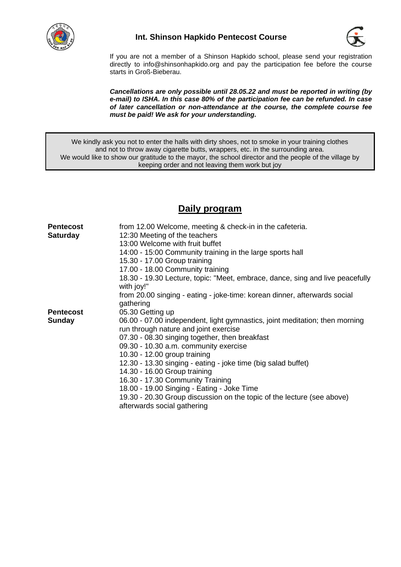![](_page_3_Picture_0.jpeg)

### **Int. Shinson Hapkido Pentecost Course**

![](_page_3_Picture_2.jpeg)

If you are not a member of a Shinson Hapkido school, please send your registration directly to info@shinsonhapkido.org and pay the participation fee before the course starts in Groß-Bieberau.

*Cancellations are only possible until 28.05.22 and must be reported in writing (by e-mail) to ISHA. In this case 80% of the participation fee can be refunded. In case of later cancellation or non-attendance at the course, the complete course fee must be paid! We ask for your understanding.*

We kindly ask you not to enter the halls with dirty shoes, not to smoke in your training clothes and not to throw away cigarette butts, wrappers, etc. in the surrounding area. We would like to show our gratitude to the mayor, the school director and the people of the village by keeping order and not leaving them work but joy

### **Daily program**

| <b>Pentecost</b><br><b>Saturday</b> | from 12.00 Welcome, meeting & check-in in the cafeteria.<br>12:30 Meeting of the teachers             |
|-------------------------------------|-------------------------------------------------------------------------------------------------------|
|                                     | 13:00 Welcome with fruit buffet                                                                       |
|                                     | 14:00 - 15:00 Community training in the large sports hall                                             |
|                                     | 15.30 - 17.00 Group training                                                                          |
|                                     | 17.00 - 18.00 Community training                                                                      |
|                                     | 18.30 - 19.30 Lecture, topic: "Meet, embrace, dance, sing and live peacefully<br>with joy!"           |
|                                     | from 20.00 singing - eating - joke-time: korean dinner, afterwards social<br>gathering                |
| <b>Pentecost</b>                    | 05.30 Getting up                                                                                      |
| <b>Sunday</b>                       | 06.00 - 07.00 independent, light gymnastics, joint meditation; then morning                           |
|                                     | run through nature and joint exercise                                                                 |
|                                     | 07.30 - 08.30 singing together, then breakfast                                                        |
|                                     | 09.30 - 10.30 a.m. community exercise                                                                 |
|                                     | 10.30 - 12.00 group training                                                                          |
|                                     | 12.30 - 13.30 singing - eating - joke time (big salad buffet)                                         |
|                                     | 14.30 - 16.00 Group training                                                                          |
|                                     | 16.30 - 17.30 Community Training                                                                      |
|                                     | 18.00 - 19.00 Singing - Eating - Joke Time                                                            |
|                                     | 19.30 - 20.30 Group discussion on the topic of the lecture (see above)<br>afterwards social gathering |
|                                     |                                                                                                       |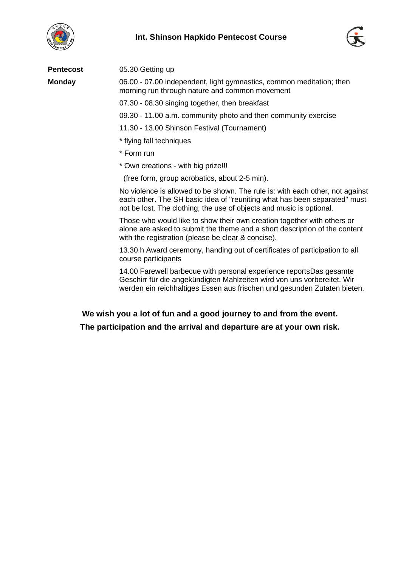![](_page_4_Picture_0.jpeg)

![](_page_4_Picture_2.jpeg)

| <b>Pentecost</b> | 05.30 Getting up                                                                                                                                                                                                                   |
|------------------|------------------------------------------------------------------------------------------------------------------------------------------------------------------------------------------------------------------------------------|
| <b>Monday</b>    | 06.00 - 07.00 independent, light gymnastics, common meditation; then<br>morning run through nature and common movement                                                                                                             |
|                  | 07.30 - 08.30 singing together, then breakfast                                                                                                                                                                                     |
|                  | 09.30 - 11.00 a.m. community photo and then community exercise                                                                                                                                                                     |
|                  | 11.30 - 13.00 Shinson Festival (Tournament)                                                                                                                                                                                        |
|                  | * flying fall techniques                                                                                                                                                                                                           |
|                  | * Form run                                                                                                                                                                                                                         |
|                  | * Own creations - with big prize!!!                                                                                                                                                                                                |
|                  | (free form, group acrobatics, about 2-5 min).                                                                                                                                                                                      |
|                  | No violence is allowed to be shown. The rule is: with each other, not against<br>each other. The SH basic idea of "reuniting what has been separated" must<br>not be lost. The clothing, the use of objects and music is optional. |
|                  | Those who would like to show their own creation together with others or<br>alone are asked to submit the theme and a short description of the content<br>with the registration (please be clear & concise).                        |
|                  | 13.30 h Award ceremony, handing out of certificates of participation to all<br>course participants                                                                                                                                 |

14.00 Farewell barbecue with personal experience reportsDas gesamte Geschirr für die angekündigten Mahlzeiten wird von uns vorbereitet. Wir werden ein reichhaltiges Essen aus frischen und gesunden Zutaten bieten.

**We wish you a lot of fun and a good journey to and from the event. The participation and the arrival and departure are at your own risk.**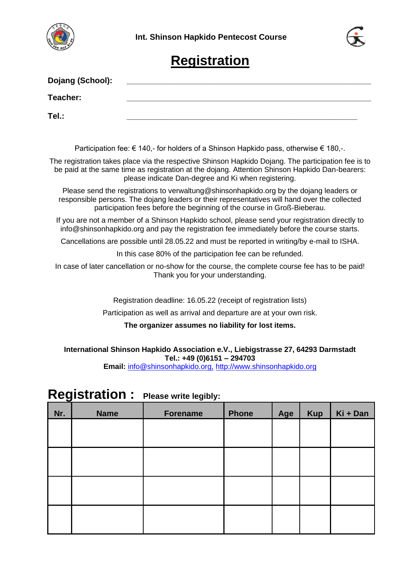![](_page_5_Picture_0.jpeg)

![](_page_5_Picture_2.jpeg)

# **Registration**

| Dojang (School): |                                                                                                                                                                                                                                                                     |
|------------------|---------------------------------------------------------------------------------------------------------------------------------------------------------------------------------------------------------------------------------------------------------------------|
| Teacher:         |                                                                                                                                                                                                                                                                     |
| Tel.:            |                                                                                                                                                                                                                                                                     |
|                  | Participation fee: € 140,- for holders of a Shinson Hapkido pass, otherwise € 180,-.                                                                                                                                                                                |
|                  | The registration takes place via the respective Shinson Hapkido Dojang. The participation fee is to<br>be paid at the same time as registration at the dojang. Attention Shinson Hapkido Dan-bearers:<br>please indicate Dan-degree and Ki when registering.        |
|                  | Please send the registrations to verwaltung@shinsonhapkido.org by the dojang leaders or<br>responsible persons. The dojang leaders or their representatives will hand over the collected<br>participation fees before the beginning of the course in Groß-Bieberau. |
|                  | If you are not a member of a Shinson Hapkido school, please send your registration directly to<br>info@shinsonhapkido.org and pay the registration fee immediately before the course starts.                                                                        |
|                  | Cancellations are possible until 28.05.22 and must be reported in writing/by e-mail to ISHA.                                                                                                                                                                        |
|                  | In this case 80% of the participation fee can be refunded.                                                                                                                                                                                                          |
|                  | In case of later cancellation or no-show for the course, the complete course fee has to be paid!<br>Thank you for your understanding.                                                                                                                               |
|                  | Registration deadline: 16.05.22 (receipt of registration lists)                                                                                                                                                                                                     |
|                  | Participation as well as arrival and departure are at your own risk.                                                                                                                                                                                                |

#### **The organizer assumes no liability for lost items.**

**International Shinson Hapkido Association e.V., Liebigstrasse 27, 64293 Darmstadt Tel.: +49 (0)6151 – 294703**

**Email:** info@shinsonhapkido.org, http://www.shinsonhapkido.org

# **Registration : Please write legibly:**

| Nr. | <b>Name</b> | Forename | <b>Phone</b> | Age | <b>Kup</b> | Ki + Dan |
|-----|-------------|----------|--------------|-----|------------|----------|
|     |             |          |              |     |            |          |
|     |             |          |              |     |            |          |
|     |             |          |              |     |            |          |
|     |             |          |              |     |            |          |